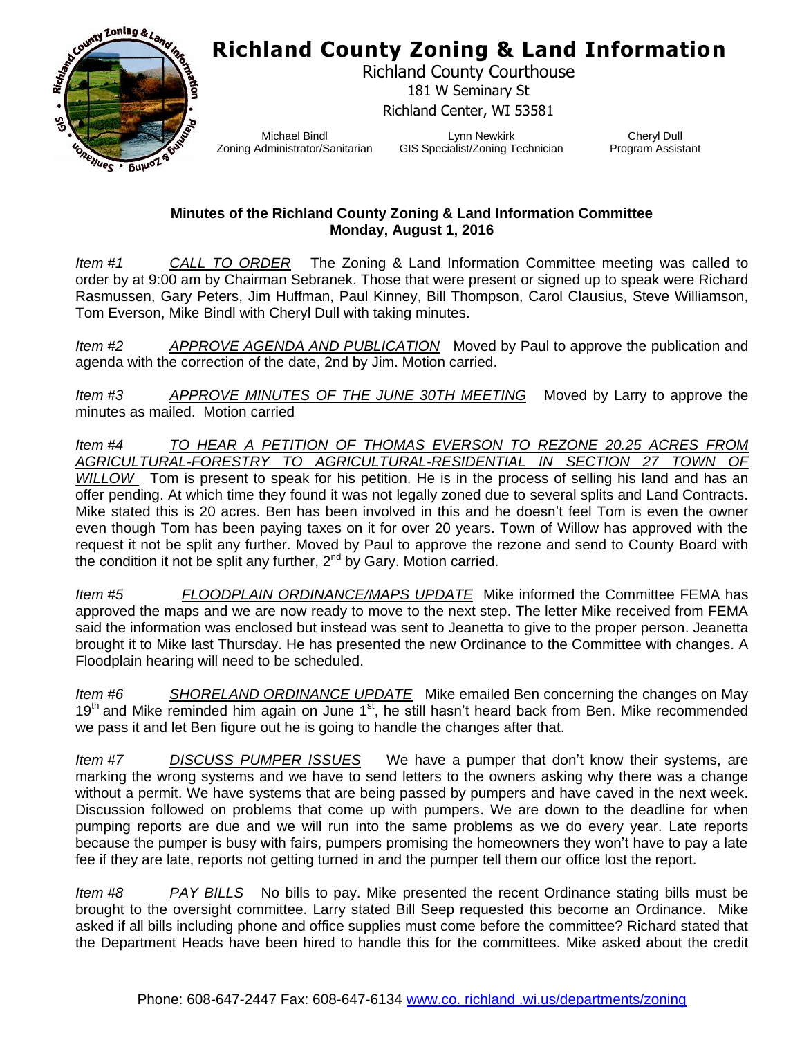## **Richland County Zoning & Land Information**



Richland County Courthouse 181 W Seminary St Richland Center, WI 53581

Michael Bindl Zoning Administrator/Sanitarian

Lynn Newkirk GIS Specialist/Zoning Technician

Cheryl Dull Program Assistant

## **Minutes of the Richland County Zoning & Land Information Committee Monday, August 1, 2016**

*Item #1 CALL TO ORDER* The Zoning & Land Information Committee meeting was called to order by at 9:00 am by Chairman Sebranek. Those that were present or signed up to speak were Richard Rasmussen, Gary Peters, Jim Huffman, Paul Kinney, Bill Thompson, Carol Clausius, Steve Williamson, Tom Everson, Mike Bindl with Cheryl Dull with taking minutes.

*Item #2 APPROVE AGENDA AND PUBLICATION* Moved by Paul to approve the publication and agenda with the correction of the date, 2nd by Jim. Motion carried.

*Item #3 APPROVE MINUTES OF THE JUNE 30TH MEETING* Moved by Larry to approve the minutes as mailed. Motion carried

*Item #4 TO HEAR A PETITION OF THOMAS EVERSON TO REZONE 20.25 ACRES FROM AGRICULTURAL-FORESTRY TO AGRICULTURAL-RESIDENTIAL IN SECTION 27 TOWN OF WILLOW* Tom is present to speak for his petition. He is in the process of selling his land and has an offer pending. At which time they found it was not legally zoned due to several splits and Land Contracts. Mike stated this is 20 acres. Ben has been involved in this and he doesn't feel Tom is even the owner even though Tom has been paying taxes on it for over 20 years. Town of Willow has approved with the request it not be split any further. Moved by Paul to approve the rezone and send to County Board with the condition it not be split any further, 2<sup>nd</sup> by Gary. Motion carried.

*Item #5 FLOODPLAIN ORDINANCE/MAPS UPDATE* Mike informed the Committee FEMA has approved the maps and we are now ready to move to the next step. The letter Mike received from FEMA said the information was enclosed but instead was sent to Jeanetta to give to the proper person. Jeanetta brought it to Mike last Thursday. He has presented the new Ordinance to the Committee with changes. A Floodplain hearing will need to be scheduled.

*Item #6 SHORELAND ORDINANCE UPDATE* Mike emailed Ben concerning the changes on May  $19<sup>th</sup>$  and Mike reminded him again on June  $1<sup>st</sup>$ , he still hasn't heard back from Ben. Mike recommended we pass it and let Ben figure out he is going to handle the changes after that.

*Item #7 DISCUSS PUMPER ISSUES* We have a pumper that don't know their systems, are marking the wrong systems and we have to send letters to the owners asking why there was a change without a permit. We have systems that are being passed by pumpers and have caved in the next week. Discussion followed on problems that come up with pumpers. We are down to the deadline for when pumping reports are due and we will run into the same problems as we do every year. Late reports because the pumper is busy with fairs, pumpers promising the homeowners they won't have to pay a late fee if they are late, reports not getting turned in and the pumper tell them our office lost the report.

*Item #8 PAY BILLS* No bills to pay. Mike presented the recent Ordinance stating bills must be brought to the oversight committee. Larry stated Bill Seep requested this become an Ordinance. Mike asked if all bills including phone and office supplies must come before the committee? Richard stated that the Department Heads have been hired to handle this for the committees. Mike asked about the credit